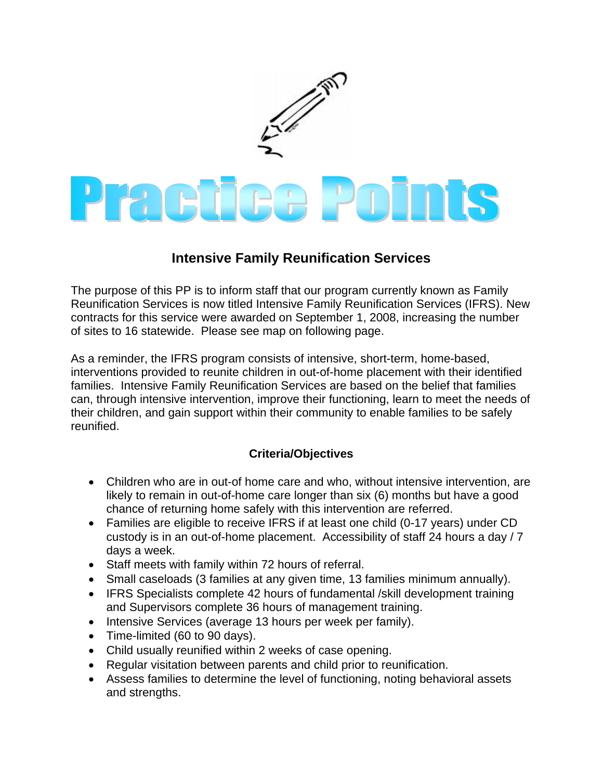

## **Intensive Family Reunification Services**

The purpose of this PP is to inform staff that our program currently known as Family Reunification Services is now titled Intensive Family Reunification Services (IFRS). New contracts for this service were awarded on September 1, 2008, increasing the number of sites to 16 statewide. Please see map on following page.

As a reminder, the IFRS program consists of intensive, short-term, home-based, interventions provided to reunite children in out-of-home placement with their identified families. Intensive Family Reunification Services are based on the belief that families can, through intensive intervention, improve their functioning, learn to meet the needs of their children, and gain support within their community to enable families to be safely reunified.

## **Criteria/Objectives**

- Children who are in out-of home care and who, without intensive intervention, are likely to remain in out-of-home care longer than six (6) months but have a good chance of returning home safely with this intervention are referred.
- Families are eligible to receive IFRS if at least one child (0-17 years) under CD custody is in an out-of-home placement. Accessibility of staff 24 hours a day / 7 days a week.
- Staff meets with family within 72 hours of referral.
- Small caseloads (3 families at any given time, 13 families minimum annually).
- IFRS Specialists complete 42 hours of fundamental /skill development training and Supervisors complete 36 hours of management training.
- Intensive Services (average 13 hours per week per family).
- Time-limited (60 to 90 days).
- Child usually reunified within 2 weeks of case opening.
- Regular visitation between parents and child prior to reunification.
- Assess families to determine the level of functioning, noting behavioral assets and strengths.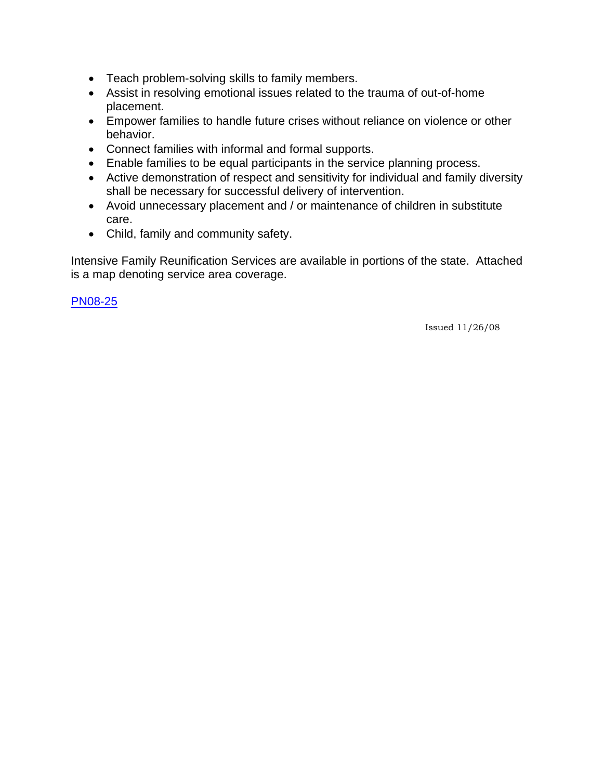- Teach problem-solving skills to family members.
- Assist in resolving emotional issues related to the trauma of out-of-home placement.
- Empower families to handle future crises without reliance on violence or other behavior.
- Connect families with informal and formal supports.
- Enable families to be equal participants in the service planning process.
- Active demonstration of respect and sensitivity for individual and family diversity shall be necessary for successful delivery of intervention.
- Avoid unnecessary placement and / or maintenance of children in substitute care.
- Child, family and community safety.

Intensive Family Reunification Services are available in portions of the state. Attached is a map denoting service area coverage.

[PN08-25](http://dssweb/cs/memos/director/2008/pn0825.pdf)

Issued 11/26/08